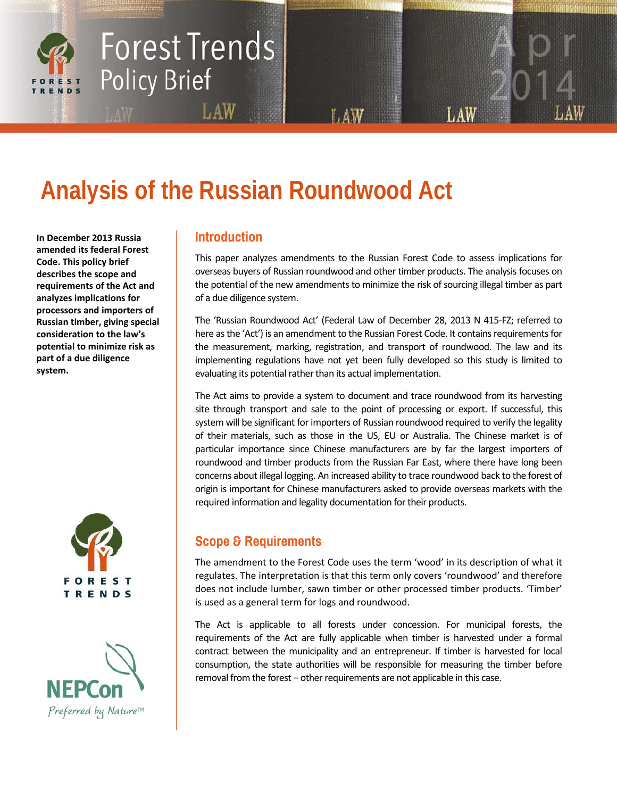# **Forest Trends Policy Brief**

## **Analysis of the Russian Roundwood Act**

**In December 2013 Russia amended its federal Forest Code. This policy brief describes the scope and requirements of the Act and analyzes implications for processors and importers of Russian timber, giving special consideration to the law's potential to minimize risk as part of a due diligence system.**





## **Introduction**

LAW

This paper analyzes amendments to the Russian Forest Code to assess implications for overseas buyers of Russian roundwood and other timber products. The analysis focuses on the potential of the new amendments to minimize the risk of sourcing illegal timber as part of a due diligence system.

LAW

The 'Russian Roundwood Act' (Federal Law of December 28, 2013 N 415-FZ; referred to here as the 'Act') is an amendment to the Russian Forest Code. It contains requirements for the measurement, marking, registration, and transport of roundwood. The law and its implementing regulations have not yet been fully developed so this study is limited to evaluating its potential rather than its actual implementation.

The Act aims to provide a system to document and trace roundwood from its harvesting site through transport and sale to the point of processing or export. If successful, this system will be significant for importers of Russian roundwood required to verify the legality of their materials, such as those in the US, EU or Australia. The Chinese market is of particular importance since Chinese manufacturers are by far the largest importers of roundwood and timber products from the Russian Far East, where there have long been concerns about illegal logging. An increased ability to trace roundwood back to the forest of origin is important for Chinese manufacturers asked to provide overseas markets with the required information and legality documentation for their products.

## **Scope & Requirements**

The amendment to the Forest Code uses the term 'wood' in its description of what it regulates. The interpretation is that this term only covers 'roundwood' and therefore does not include lumber, sawn timber or other processed timber products. 'Timber' is used as a general term for logs and roundwood.

The Act is applicable to all forests under concession. For municipal forests, the requirements of the Act are fully applicable when timber is harvested under a formal contract between the municipality and an entrepreneur. If timber is harvested for local consumption, the state authorities will be responsible for measuring the timber before removal from the forest – other requirements are not applicable in this case.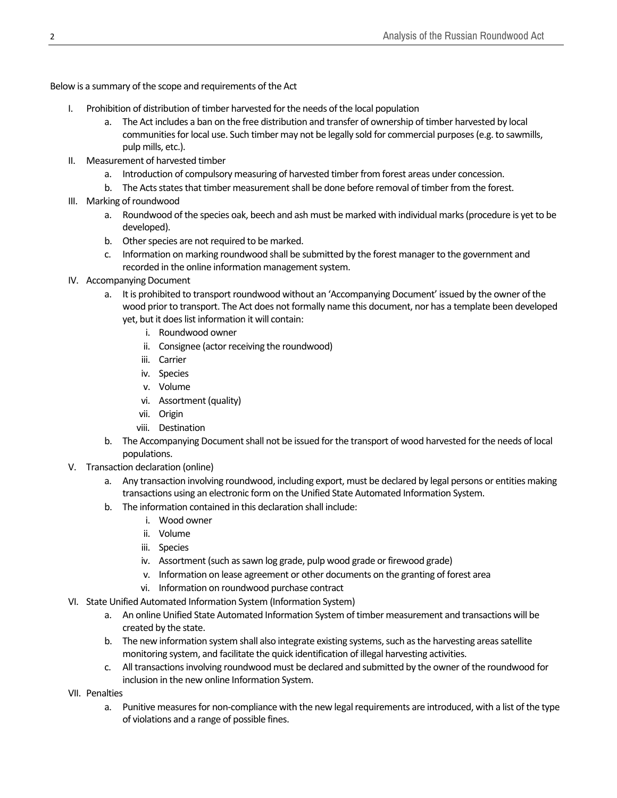Below is a summary of the scope and requirements of the Act

- I. Prohibition of distribution of timber harvested for the needs of the local population
	- a. The Act includes a ban on the free distribution and transfer of ownership of timber harvested by local communities for local use. Such timber may not be legally sold for commercial purposes (e.g. to sawmills, pulp mills, etc.).
- II. Measurement of harvested timber
	- a. Introduction of compulsory measuring of harvested timber from forest areas under concession.
	- b. The Acts states that timber measurement shall be done before removal of timber from the forest.
- III. Marking of roundwood
	- a. Roundwood of the species oak, beech and ash must be marked with individual marks (procedure is yet to be developed).
	- b. Other species are not required to be marked.
	- c. Information on marking roundwood shall be submitted by the forest manager to the government and recorded in the online information management system.
- IV. Accompanying Document
	- a. It is prohibited to transport roundwood without an 'Accompanying Document' issued by the owner of the wood prior to transport. The Act does not formally name this document, nor has a template been developed yet, but it does list information it will contain:
		- i. Roundwood owner
		- ii. Consignee (actor receiving the roundwood)
		- iii. Carrier
		- iv. Species
		- v. Volume
		- vi. Assortment (quality)
		- vii. Origin
		- viii. Destination
	- b. The Accompanying Document shall not be issued for the transport of wood harvested for the needs of local populations.
- V. Transaction declaration (online)
	- a. Any transaction involving roundwood, including export, must be declared by legal persons or entities making transactions using an electronic form on the Unified State Automated Information System.
	- b. The information contained in this declaration shall include:
		- i. Wood owner
		- ii. Volume
		- iii. Species
		- iv. Assortment (such as sawn log grade, pulp wood grade or firewood grade)
		- v. Information on lease agreement or other documents on the granting of forest area
		- vi. Information on roundwood purchase contract
- VI. State Unified Automated Information System (Information System)
	- a. An online Unified State Automated Information System of timber measurement and transactions will be created by the state.
	- b. The new information system shall also integrate existing systems, such as the harvesting areas satellite monitoring system, and facilitate the quick identification of illegal harvesting activities.
	- c. All transactions involving roundwood must be declared and submitted by the owner of the roundwood for inclusion in the new online Information System.
- VII. Penalties
	- a. Punitive measures for non-compliance with the new legal requirements are introduced, with a list of the type of violations and a range of possible fines.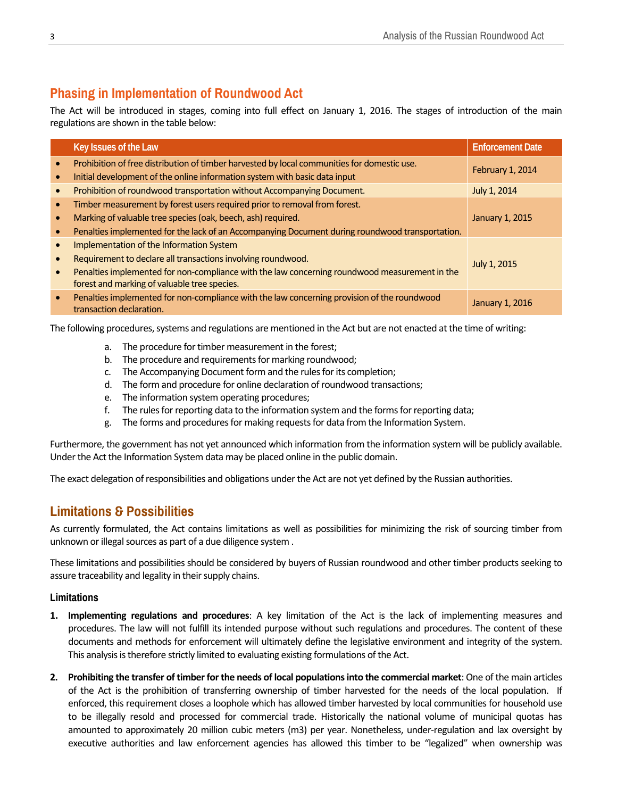## **Phasing in Implementation of Roundwood Act**

The Act will be introduced in stages, coming into full effect on January 1, 2016. The stages of introduction of the main regulations are shown in the table below:

|           | Key Issues of the Law                                                                                                                                                                                                                                     | <b>Enforcement Date</b> |
|-----------|-----------------------------------------------------------------------------------------------------------------------------------------------------------------------------------------------------------------------------------------------------------|-------------------------|
|           | Prohibition of free distribution of timber harvested by local communities for domestic use.<br>Initial development of the online information system with basic data input                                                                                 | February 1, 2014        |
|           | Prohibition of roundwood transportation without Accompanying Document.                                                                                                                                                                                    | July 1, 2014            |
|           | Timber measurement by forest users required prior to removal from forest.<br>Marking of valuable tree species (oak, beech, ash) required.<br>Penalties implemented for the lack of an Accompanying Document during roundwood transportation.              | January 1, 2015         |
| $\bullet$ | Implementation of the Information System<br>Requirement to declare all transactions involving roundwood.<br>Penalties implemented for non-compliance with the law concerning roundwood measurement in the<br>forest and marking of valuable tree species. | July 1, 2015            |
| $\bullet$ | Penalties implemented for non-compliance with the law concerning provision of the roundwood<br>transaction declaration.                                                                                                                                   | January 1, 2016         |

The following procedures, systems and regulations are mentioned in the Act but are not enacted at the time of writing:

- a. The procedure for timber measurement in the forest;
- b. The procedure and requirements for marking roundwood;
- c. The Accompanying Document form and the rules for its completion;
- d. The form and procedure for online declaration of roundwood transactions;
- e. The information system operating procedures;
- f. The rules for reporting data to the information system and the forms for reporting data;
- g. The forms and procedures for making requests for data from the Information System.

Furthermore, the government has not yet announced which information from the information system will be publicly available. Under the Act the Information System data may be placed online in the public domain.

The exact delegation of responsibilities and obligations under the Act are not yet defined by the Russian authorities.

## **Limitations & Possibilities**

As currently formulated, the Act contains limitations as well as possibilities for minimizing the risk of sourcing timber from unknown or illegal sources as part of a due diligence system .

These limitations and possibilities should be considered by buyers of Russian roundwood and other timber products seeking to assure traceability and legality in their supply chains.

#### **Limitations**

- **1. Implementing regulations and procedures**: A key limitation of the Act is the lack of implementing measures and procedures. The law will not fulfill its intended purpose without such regulations and procedures. The content of these documents and methods for enforcement will ultimately define the legislative environment and integrity of the system. This analysis is therefore strictly limited to evaluating existing formulations of the Act.
- **2. Prohibiting the transfer of timber for the needs of local populations into the commercial market**: One of the main articles of the Act is the prohibition of transferring ownership of timber harvested for the needs of the local population. If enforced, this requirement closes a loophole which has allowed timber harvested by local communities for household use to be illegally resold and processed for commercial trade. Historically the national volume of municipal quotas has amounted to approximately 20 million cubic meters (m3) per year. Nonetheless, under-regulation and lax oversight by executive authorities and law enforcement agencies has allowed this timber to be "legalized" when ownership was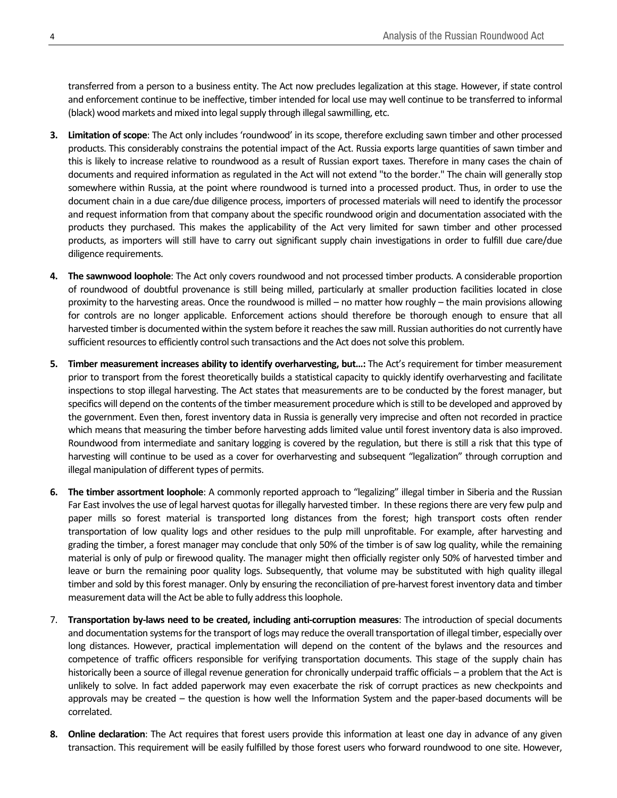transferred from a person to a business entity. The Act now precludes legalization at this stage. However, if state control and enforcement continue to be ineffective, timber intended for local use may well continue to be transferred to informal (black) wood markets and mixed into legal supply through illegal sawmilling, etc.

- **3. Limitation of scope**: The Act only includes 'roundwood' in its scope, therefore excluding sawn timber and other processed products. This considerably constrains the potential impact of the Act. Russia exports large quantities of sawn timber and this is likely to increase relative to roundwood as a result of Russian export taxes. Therefore in many cases the chain of documents and required information as regulated in the Act will not extend "to the border." The chain will generally stop somewhere within Russia, at the point where roundwood is turned into a processed product. Thus, in order to use the document chain in a due care/due diligence process, importers of processed materials will need to identify the processor and request information from that company about the specific roundwood origin and documentation associated with the products they purchased. This makes the applicability of the Act very limited for sawn timber and other processed products, as importers will still have to carry out significant supply chain investigations in order to fulfill due care/due diligence requirements.
- **4. The sawnwood loophole**: The Act only covers roundwood and not processed timber products. A considerable proportion of roundwood of doubtful provenance is still being milled, particularly at smaller production facilities located in close proximity to the harvesting areas. Once the roundwood is milled – no matter how roughly – the main provisions allowing for controls are no longer applicable. Enforcement actions should therefore be thorough enough to ensure that all harvested timber is documented within the system before it reaches the saw mill. Russian authorities do not currently have sufficient resources to efficiently control such transactions and the Act does not solve this problem.
- **5. Timber measurement increases ability to identify overharvesting, but…:** The Act's requirement for timber measurement prior to transport from the forest theoretically builds a statistical capacity to quickly identify overharvesting and facilitate inspections to stop illegal harvesting. The Act states that measurements are to be conducted by the forest manager, but specifics will depend on the contents of the timber measurement procedure which is still to be developed and approved by the government. Even then, forest inventory data in Russia is generally very imprecise and often not recorded in practice which means that measuring the timber before harvesting adds limited value until forest inventory data is also improved. Roundwood from intermediate and sanitary logging is covered by the regulation, but there is still a risk that this type of harvesting will continue to be used as a cover for overharvesting and subsequent "legalization" through corruption and illegal manipulation of different types of permits.
- **6. The timber assortment loophole**: A commonly reported approach to "legalizing" illegal timber in Siberia and the Russian Far East involves the use of legal harvest quotas for illegally harvested timber. In these regions there are very few pulp and paper mills so forest material is transported long distances from the forest; high transport costs often render transportation of low quality logs and other residues to the pulp mill unprofitable. For example, after harvesting and grading the timber, a forest manager may conclude that only 50% of the timber is of saw log quality, while the remaining material is only of pulp or firewood quality. The manager might then officially register only 50% of harvested timber and leave or burn the remaining poor quality logs. Subsequently, that volume may be substituted with high quality illegal timber and sold by this forest manager. Only by ensuring the reconciliation of pre-harvest forest inventory data and timber measurement data will the Act be able to fully address this loophole.
- 7. **Transportation by-laws need to be created, including anti-corruption measures**: The introduction of special documents and documentation systems for the transport of logs may reduce the overall transportation of illegal timber, especially over long distances. However, practical implementation will depend on the content of the bylaws and the resources and competence of traffic officers responsible for verifying transportation documents. This stage of the supply chain has historically been a source of illegal revenue generation for chronically underpaid traffic officials – a problem that the Act is unlikely to solve. In fact added paperwork may even exacerbate the risk of corrupt practices as new checkpoints and approvals may be created – the question is how well the Information System and the paper-based documents will be correlated.
- **8. Online declaration**: The Act requires that forest users provide this information at least one day in advance of any given transaction. This requirement will be easily fulfilled by those forest users who forward roundwood to one site. However,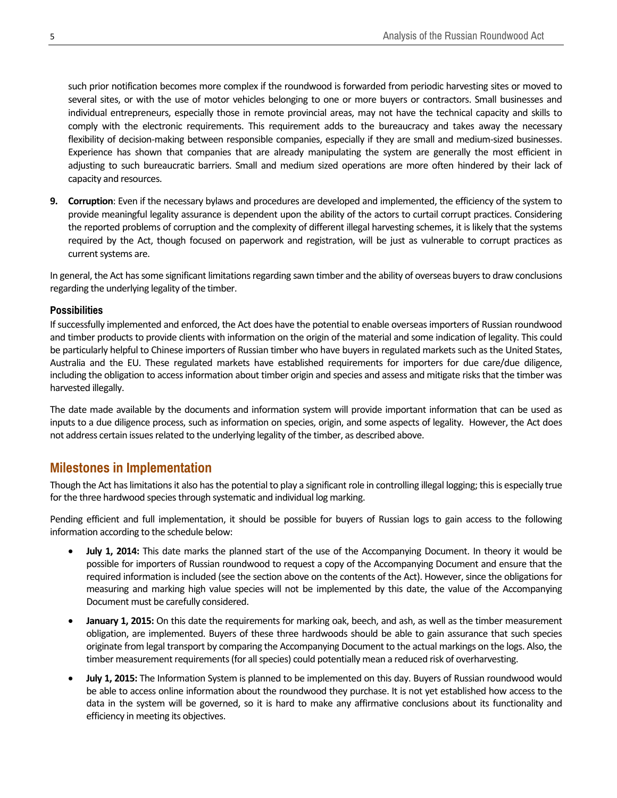such prior notification becomes more complex if the roundwood is forwarded from periodic harvesting sites or moved to several sites, or with the use of motor vehicles belonging to one or more buyers or contractors. Small businesses and individual entrepreneurs, especially those in remote provincial areas, may not have the technical capacity and skills to comply with the electronic requirements. This requirement adds to the bureaucracy and takes away the necessary flexibility of decision-making between responsible companies, especially if they are small and medium-sized businesses. Experience has shown that companies that are already manipulating the system are generally the most efficient in adjusting to such bureaucratic barriers. Small and medium sized operations are more often hindered by their lack of capacity and resources.

**9. Corruption**: Even if the necessary bylaws and procedures are developed and implemented, the efficiency of the system to provide meaningful legality assurance is dependent upon the ability of the actors to curtail corrupt practices. Considering the reported problems of corruption and the complexity of different illegal harvesting schemes, it is likely that the systems required by the Act, though focused on paperwork and registration, will be just as vulnerable to corrupt practices as current systems are.

In general, the Act has some significant limitations regarding sawn timber and the ability of overseas buyers to draw conclusions regarding the underlying legality of the timber.

#### **Possibilities**

If successfully implemented and enforced, the Act does have the potential to enable overseas importers of Russian roundwood and timber products to provide clients with information on the origin of the material and some indication of legality. This could be particularly helpful to Chinese importers of Russian timber who have buyers in regulated markets such as the United States, Australia and the EU. These regulated markets have established requirements for importers for due care/due diligence, including the obligation to access information about timber origin and species and assess and mitigate risks that the timber was harvested illegally.

The date made available by the documents and information system will provide important information that can be used as inputs to a due diligence process, such as information on species, origin, and some aspects of legality. However, the Act does not address certain issues related to the underlying legality of the timber, as described above.

## **Milestones in Implementation**

Though the Act has limitations it also has the potential to play a significant role in controlling illegal logging; this is especially true for the three hardwood species through systematic and individual log marking.

Pending efficient and full implementation, it should be possible for buyers of Russian logs to gain access to the following information according to the schedule below:

- **July 1, 2014:** This date marks the planned start of the use of the Accompanying Document. In theory it would be possible for importers of Russian roundwood to request a copy of the Accompanying Document and ensure that the required information is included (see the section above on the contents of the Act). However, since the obligations for measuring and marking high value species will not be implemented by this date, the value of the Accompanying Document must be carefully considered.
- **January 1, 2015:** On this date the requirements for marking oak, beech, and ash, as well as the timber measurement obligation, are implemented. Buyers of these three hardwoods should be able to gain assurance that such species originate from legal transport by comparing the Accompanying Document to the actual markings on the logs. Also, the timber measurement requirements (for all species) could potentially mean a reduced risk of overharvesting.
- **July 1, 2015:** The Information System is planned to be implemented on this day. Buyers of Russian roundwood would be able to access online information about the roundwood they purchase. It is not yet established how access to the data in the system will be governed, so it is hard to make any affirmative conclusions about its functionality and efficiency in meeting its objectives.